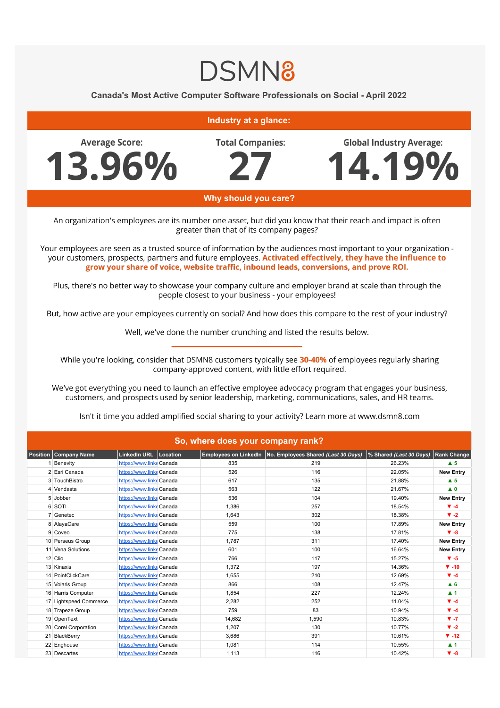## **DSMN8**

## **Canada's Most Active Computer Software Professionals on Social - April 2022**

**Industry at a glance:** 

**Average Score:** 13.96% **Total Companies:** 

**Global Industry Average:** 4.19%

Why should you care?

An organization's employees are its number one asset, but did you know that their reach and impact is often greater than that of its company pages?

Your employees are seen as a trusted source of information by the audiences most important to your organization your customers, prospects, partners and future employees. Activated effectively, they have the influence to grow your share of voice, website traffic, inbound leads, conversions, and prove ROI.

Plus, there's no better way to showcase your company culture and employer brand at scale than through the people closest to your business - your employees!

But, how active are your employees currently on social? And how does this compare to the rest of your industry?

Well, we've done the number crunching and listed the results below.

While you're looking, consider that DSMN8 customers typically see 30-40% of employees regularly sharing company-approved content, with little effort required.

We've got everything you need to launch an effective employee advocacy program that engages your business, customers, and prospects used by senior leadership, marketing, communications, sales, and HR teams.

Isn't it time you added amplified social sharing to your activity? Learn more at www.dsmn8.com

| So, where does your company rank? |                          |  |        |                                                             |                         |                    |  |  |  |  |
|-----------------------------------|--------------------------|--|--------|-------------------------------------------------------------|-------------------------|--------------------|--|--|--|--|
| <b>Company Name</b><br>Position   | LinkedIn URL Location    |  |        | Employees on LinkedIn   No. Employees Shared (Last 30 Days) | % Shared (Last 30 Days) | <b>Rank Change</b> |  |  |  |  |
| Benevity                          | https://www.linkeCanada  |  | 835    | 219                                                         | 26.23%                  | $\triangle$ 5      |  |  |  |  |
| 2 Esri Canada                     | https://www.linkeCanada  |  | 526    | 116                                                         | 22.05%                  | <b>New Entry</b>   |  |  |  |  |
| 3 TouchBistro                     | https://www.linkeCanada  |  | 617    | 135                                                         | 21.88%                  | $\blacktriangle$ 5 |  |  |  |  |
| 4 Vendasta                        | https://www.linke Canada |  | 563    | 122                                                         | 21.67%                  | $\blacktriangle$ 0 |  |  |  |  |
| 5 Jobber                          | https://www.linkeCanada  |  | 536    | 104                                                         | 19.40%                  | <b>New Entry</b>   |  |  |  |  |
| 6 SOTI                            | https://www.linkeCanada  |  | 1,386  | 257                                                         | 18.54%                  | $\Psi - 4$         |  |  |  |  |
| 7 Genetec                         | https://www.linkeCanada  |  | 1,643  | 302                                                         | 18.38%                  | $V - 2$            |  |  |  |  |
| 8 AlayaCare                       | https://www.linkeCanada  |  | 559    | 100                                                         | 17.89%                  | <b>New Entry</b>   |  |  |  |  |
| 9 Coveo                           | https://www.linkeCanada  |  | 775    | 138                                                         | 17.81%                  | $\Psi - 8$         |  |  |  |  |
| 10 Perseus Group                  | https://www.linkeCanada  |  | 1,787  | 311                                                         | 17.40%                  | <b>New Entry</b>   |  |  |  |  |
| 11 Vena Solutions                 | https://www.linkeCanada  |  | 601    | 100                                                         | 16.64%                  | <b>New Entry</b>   |  |  |  |  |
| 12 Clio                           | https://www.linkeCanada  |  | 766    | 117                                                         | 15.27%                  | $V - 5$            |  |  |  |  |
| 13 Kinaxis                        | https://www.linkeCanada  |  | 1.372  | 197                                                         | 14.36%                  | $\P$ -10           |  |  |  |  |
| 14 PointClickCare                 | https://www.linkeCanada  |  | 1,655  | 210                                                         | 12.69%                  | $\Psi - 4$         |  |  |  |  |
| 15 Volaris Group                  | https://www.linkeCanada  |  | 866    | 108                                                         | 12.47%                  | $A$ <sub>6</sub>   |  |  |  |  |
| 16 Harris Computer                | https://www.linkeCanada  |  | 1,854  | 227                                                         | 12.24%                  | $\blacktriangle$ 1 |  |  |  |  |
| 17 Lightspeed Commerce            | https://www.linke Canada |  | 2,282  | 252                                                         | 11.04%                  | $\Psi - 4$         |  |  |  |  |
| 18 Trapeze Group                  | https://www.linkeCanada  |  | 759    | 83                                                          | 10.94%                  | $\Psi - 4$         |  |  |  |  |
| 19 OpenText                       | https://www.linkeCanada  |  | 14,682 | 1,590                                                       | 10.83%                  | $V - 7$            |  |  |  |  |
| 20 Corel Corporation              | https://www.linkeCanada  |  | 1,207  | 130                                                         | 10.77%                  | $\Psi -2$          |  |  |  |  |
| 21 BlackBerry                     | https://www.linkeCanada  |  | 3,686  | 391                                                         | 10.61%                  | $\Psi - 12$        |  |  |  |  |
| 22 Enghouse                       | https://www.linke Canada |  | 1,081  | 114                                                         | 10.55%                  | $\blacktriangle$ 1 |  |  |  |  |
| 23 Descartes                      | https://www.linkeCanada  |  | 1,113  | 116                                                         | 10.42%                  | $\Psi - 8$         |  |  |  |  |